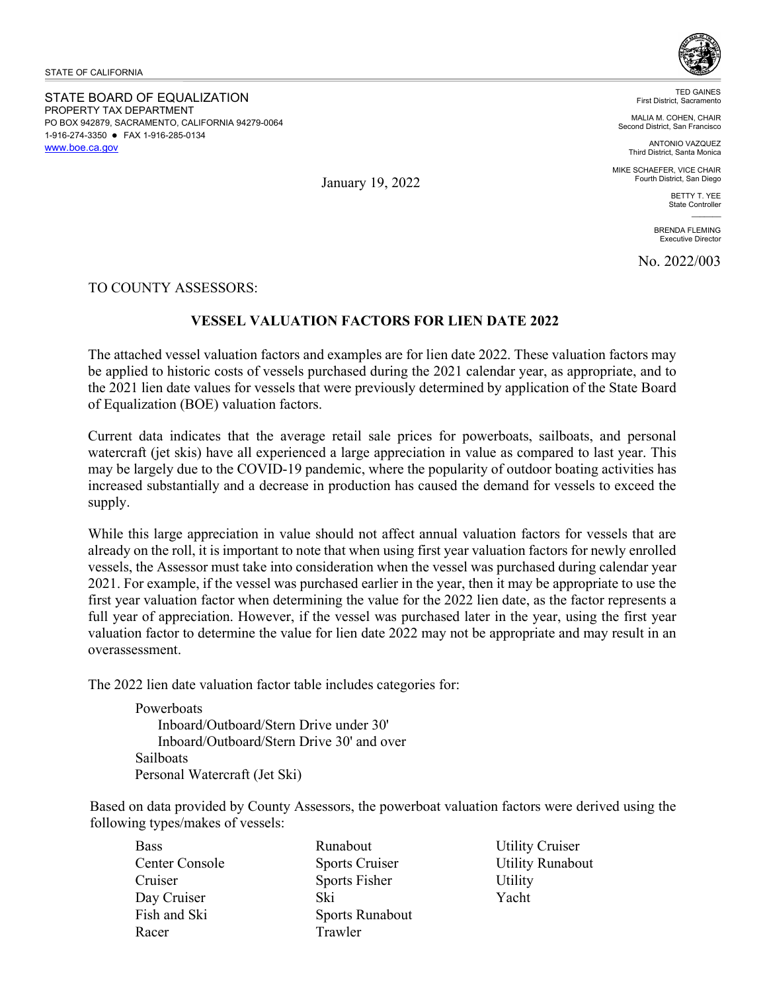STATE OF CALIFORNIA

 1-916-274-3350 FAX 1-916-285-0134 [www.boe.ca.gov](https://www.boe.ca.gov/) STATE BOARD OF EQUALIZATION PROPERTY TAX DEPARTMENT PO BOX 942879, SACRAMENTO, CALIFORNIA 94279-0064



TED GAINES First District, Sacramento

MALIA M. COHEN, CHAIR Second District, San Francisco

> ANTONIO VAZQUEZ Third District, Santa Monica

MIKE SCHAEFER, VICE CHAIR Fourth District, San Diego

> BETTY T. YEE State Controller  $\overline{\phantom{a}}$

BRENDA FLEMING Executive Director

No. 2022/003

TO COUNTY ASSESSORS:

## **VESSEL VALUATION FACTORS FOR LIEN DATE 2022**

 the 2021 lien date values for vessels that were previously determined by application of the State Board The attached vessel valuation factors and examples are for lien date 2022. These valuation factors may be applied to historic costs of vessels purchased during the 2021 calendar year, as appropriate, and to of Equalization (BOE) valuation factors.

 watercraft (jet skis) have all experienced a large appreciation in value as compared to last year. This Current data indicates that the average retail sale prices for powerboats, sailboats, and personal may be largely due to the COVID-19 pandemic, where the popularity of outdoor boating activities has increased substantially and a decrease in production has caused the demand for vessels to exceed the supply.

 already on the roll, it is important to note that when using first year valuation factors for newly enrolled first year valuation factor when determining the value for the 2022 lien date, as the factor represents a valuation factor to determine the value for lien date 2022 may not be appropriate and may result in an overassessment. While this large appreciation in value should not affect annual valuation factors for vessels that are vessels, the Assessor must take into consideration when the vessel was purchased during calendar year 2021. For example, if the vessel was purchased earlier in the year, then it may be appropriate to use the full year of appreciation. However, if the vessel was purchased later in the year, using the first year

The 2022 lien date valuation factor table includes categories for:

**Powerboats** Inboard/Outboard/Stern Drive under 30' Inboard/Outboard/Stern Drive 30' and over Sailboats Personal Watercraft (Jet Ski)

Based on data provided by County Assessors, the powerboat valuation factors were derived using the following types/makes of vessels:

| Bass           | Runabout               |
|----------------|------------------------|
| Center Console | <b>Sports Cruiser</b>  |
| Cruiser        | Sports Fisher          |
| Day Cruiser    | Ski                    |
| Fish and Ski   | <b>Sports Runabout</b> |
| Racer          | Trawler                |
|                |                        |

Utility Cruiser Utility Runabout **Utility** Yacht

January 19, 2022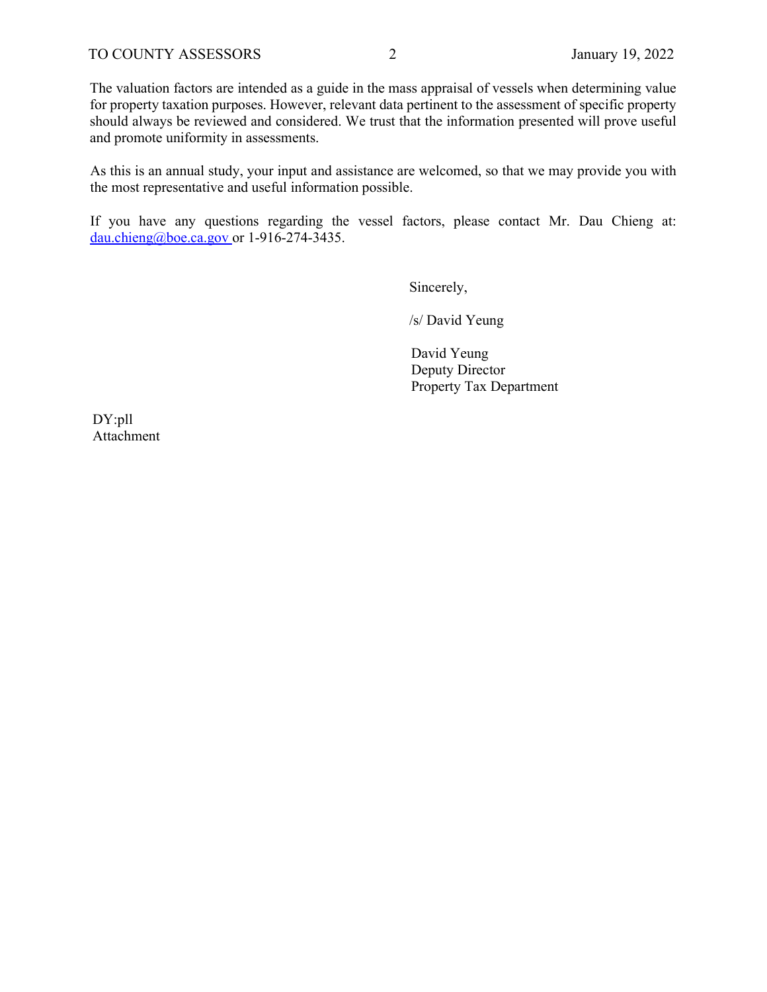The valuation factors are intended as a guide in the mass appraisal of vessels when determining value for property taxation purposes. However, relevant data pertinent to the assessment of specific property should always be reviewed and considered. We trust that the information presented will prove useful and promote uniformity in assessments.

 As this is an annual study, your input and assistance are welcomed, so that we may provide you with the most representative and useful information possible.

 If you have any questions regarding the vessel factors, please contact Mr. Dau Chieng at: dau.chieng@boe.ca.gov\_or 1-916-274-3435.<br>Sincerely,

Sincerely,

/s/ David Yeung

David Yeung Deputy Director Property Tax Department

DY:pll Attachment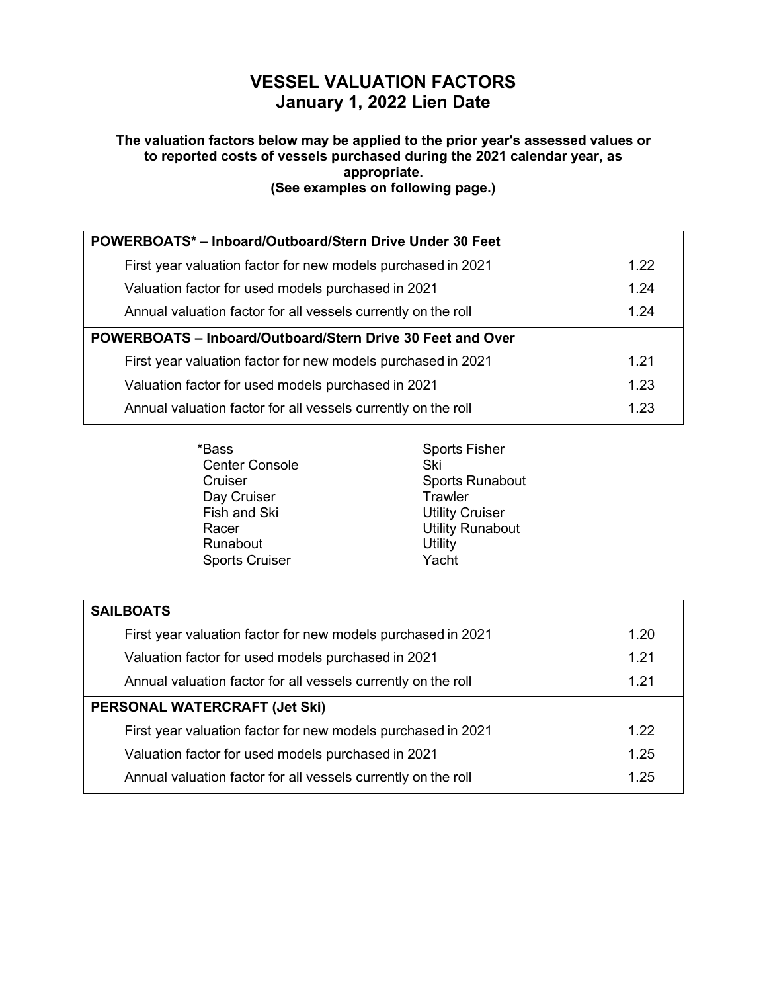# **VESSEL VALUATION FACTORS January 1, 2022 Lien Date**

#### **The valuation factors below may be applied to the prior year's assessed values or to reported costs of vessels purchased during the 2021 calendar year, as appropriate. (See examples on following page.)**

| POWERBOATS*-Inboard/Outboard/Stern Drive Under 30 Feet        |      |
|---------------------------------------------------------------|------|
| First year valuation factor for new models purchased in 2021  | 1.22 |
| Valuation factor for used models purchased in 2021            | 1.24 |
| Annual valuation factor for all vessels currently on the roll | 1.24 |
| POWERBOATS - Inboard/Outboard/Stern Drive 30 Feet and Over    |      |
| First year valuation factor for new models purchased in 2021  | 1.21 |
| Valuation factor for used models purchased in 2021            | 1.23 |
| Annual valuation factor for all vessels currently on the roll | 1.23 |

| <b>Sports Fisher</b>    |
|-------------------------|
| Ski                     |
| <b>Sports Runabout</b>  |
| Trawler                 |
| <b>Utility Cruiser</b>  |
| <b>Utility Runabout</b> |
| Utility                 |
| Yacht                   |
|                         |

| <b>SAILBOATS</b>                                              |      |
|---------------------------------------------------------------|------|
| First year valuation factor for new models purchased in 2021  | 1.20 |
| Valuation factor for used models purchased in 2021            | 1.21 |
| Annual valuation factor for all vessels currently on the roll | 1 21 |
| <b>PERSONAL WATERCRAFT (Jet Ski)</b>                          |      |
| First year valuation factor for new models purchased in 2021  | 1.22 |
| Valuation factor for used models purchased in 2021            | 1.25 |
| Annual valuation factor for all vessels currently on the roll | 1.25 |